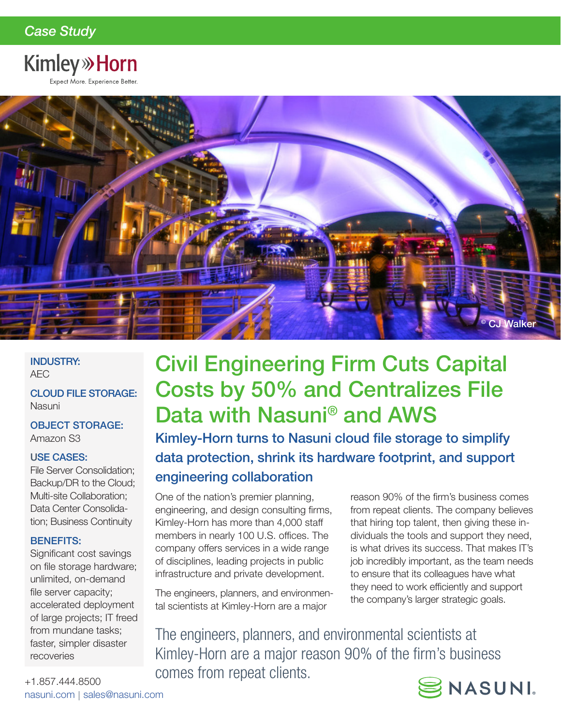# **Kimley» Horn**

Expect More. Experience Better.



## INDUSTRY: AEC

CLOUD FILE STORAGE: Nasuni

OBJECT STORAGE: Amazon S3

# USE CASES:

File Server Consolidation; Backup/DR to the Cloud; Multi-site Collaboration; Data Center Consolidation; Business Continuity

# BENEFITS:

Significant cost savings on file storage hardware; unlimited, on-demand file server capacity; accelerated deployment of large projects; IT freed from mundane tasks; faster, simpler disaster recoveries

# Civil Engineering Firm Cuts Capital Costs by 50% and Centralizes File Data with Nasuni® and AWS

Kimley-Horn turns to Nasuni cloud file storage to simplify data protection, shrink its hardware footprint, and support engineering collaboration

One of the nation's premier planning, engineering, and design consulting firms, Kimley-Horn has more than 4,000 staff members in nearly 100 U.S. offices. The company offers services in a wide range of disciplines, leading projects in public infrastructure and private development.

The engineers, planners, and environmental scientists at Kimley-Horn are a major

reason 90% of the firm's business comes from repeat clients. The company believes that hiring top talent, then giving these individuals the tools and support they need, is what drives its success. That makes IT's job incredibly important, as the team needs to ensure that its colleagues have what they need to work efficiently and support the company's larger strategic goals.

The engineers, planners, and environmental scientists at Kimley-Horn are a major reason 90% of the firm's business comes from repeat clients.



+1.857.444.8500 nasuni.com | sales@nasuni.com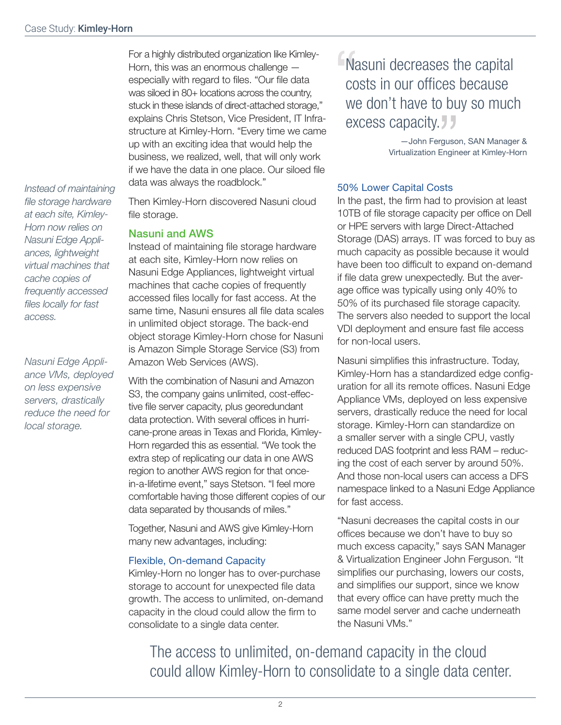For a highly distributed organization like Kimley-Horn, this was an enormous challenge especially with regard to files. "Our file data was siloed in 80+ locations across the country, stuck in these islands of direct-attached storage," explains Chris Stetson, Vice President, IT Infrastructure at Kimley-Horn. "Every time we came up with an exciting idea that would help the business, we realized, well, that will only work if we have the data in one place. Our siloed file data was always the roadblock."

*Instead of maintaining file storage hardware at each site, Kimley-Horn now relies on Nasuni Edge Appliances, lightweight virtual machines that cache copies of frequently accessed files locally for fast access.*

*Nasuni Edge Appliance VMs, deployed on less expensive servers, drastically reduce the need for local storage.*

Then Kimley-Horn discovered Nasuni cloud file storage.

## Nasuni and AWS

Instead of maintaining file storage hardware at each site, Kimley-Horn now relies on Nasuni Edge Appliances, lightweight virtual machines that cache copies of frequently accessed files locally for fast access. At the same time, Nasuni ensures all file data scales in unlimited object storage. The back-end object storage Kimley-Horn chose for Nasuni is Amazon Simple Storage Service (S3) from Amazon Web Services (AWS).

With the combination of Nasuni and Amazon S3, the company gains unlimited, cost-effective file server capacity, plus georedundant data protection. With several offices in hurricane-prone areas in Texas and Florida, Kimley-Horn regarded this as essential. "We took the extra step of replicating our data in one AWS region to another AWS region for that oncein-a-lifetime event," says Stetson. "I feel more comfortable having those different copies of our data separated by thousands of miles."

Together, Nasuni and AWS give Kimley-Horn many new advantages, including:

### Flexible, On-demand Capacity

Kimley-Horn no longer has to over-purchase storage to account for unexpected file data growth. The access to unlimited, on-demand capacity in the cloud could allow the firm to consolidate to a single data center.

 $\frac{1}{\sqrt{2}}$ Nasuni decreases the capital costs in our offices because we don't have to buy so much excess capacity.

> —John Ferguson, SAN Manager & Virtualization Engineer at Kimley-Horn

## 50% Lower Capital Costs

In the past, the firm had to provision at least 10TB of file storage capacity per office on Dell or HPE servers with large Direct-Attached Storage (DAS) arrays. IT was forced to buy as much capacity as possible because it would have been too difficult to expand on-demand if file data grew unexpectedly. But the average office was typically using only 40% to 50% of its purchased file storage capacity. The servers also needed to support the local VDI deployment and ensure fast file access for non-local users.

Nasuni simplifies this infrastructure. Today, Kimley-Horn has a standardized edge configuration for all its remote offices. Nasuni Edge Appliance VMs, deployed on less expensive servers, drastically reduce the need for local storage. Kimley-Horn can standardize on a smaller server with a single CPU, vastly reduced DAS footprint and less RAM – reducing the cost of each server by around 50%. And those non-local users can access a DFS namespace linked to a Nasuni Edge Appliance for fast access.

"Nasuni decreases the capital costs in our offices because we don't have to buy so much excess capacity," says SAN Manager & Virtualization Engineer John Ferguson. "It simplifies our purchasing, lowers our costs, and simplifies our support, since we know that every office can have pretty much the same model server and cache underneath the Nasuni VMs."

The access to unlimited, on-demand capacity in the cloud could allow Kimley-Horn to consolidate to a single data center.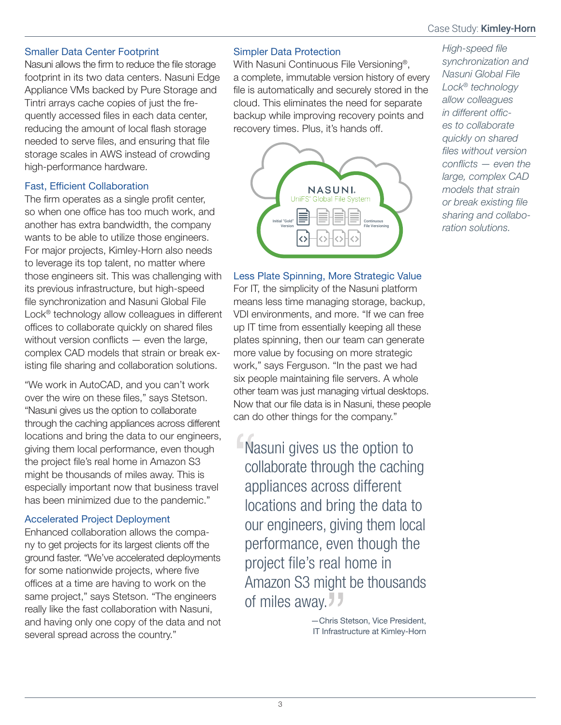# Case Study: **Kimley-Horn**

# Smaller Data Center Footprint

Nasuni allows the firm to reduce the file storage footprint in its two data centers. Nasuni Edge Appliance VMs backed by Pure Storage and Tintri arrays cache copies of just the frequently accessed files in each data center, reducing the amount of local flash storage needed to serve files, and ensuring that file storage scales in AWS instead of crowding high-performance hardware.

# Fast, Efficient Collaboration

The firm operates as a single profit center, so when one office has too much work, and another has extra bandwidth, the company wants to be able to utilize those engineers. For major projects, Kimley-Horn also needs to leverage its top talent, no matter where those engineers sit. This was challenging with its previous infrastructure, but high-speed file synchronization and Nasuni Global File Lock® technology allow colleagues in different offices to collaborate quickly on shared files without version conflicts — even the large, complex CAD models that strain or break existing file sharing and collaboration solutions.

"We work in AutoCAD, and you can't work over the wire on these files," says Stetson. "Nasuni gives us the option to collaborate through the caching appliances across different locations and bring the data to our engineers, giving them local performance, even though the project file's real home in Amazon S3 might be thousands of miles away. This is especially important now that business travel has been minimized due to the pandemic."

# Accelerated Project Deployment

Enhanced collaboration allows the company to get projects for its largest clients off the ground faster. "We've accelerated deployments for some nationwide projects, where five offices at a time are having to work on the same project," says Stetson. "The engineers really like the fast collaboration with Nasuni, and having only one copy of the data and not several spread across the country."

# Simpler Data Protection

With Nasuni Continuous File Versioning®, a complete, immutable version history of every file is automatically and securely stored in the cloud. This eliminates the need for separate backup while improving recovery points and recovery times. Plus, it's hands off.



# Less Plate Spinning, More Strategic Value

For IT, the simplicity of the Nasuni platform means less time managing storage, backup, VDI environments, and more. "If we can free up IT time from essentially keeping all these plates spinning, then our team can generate more value by focusing on more strategic work," says Ferguson. "In the past we had six people maintaining file servers. A whole other team was just managing virtual desktops. Now that our file data is in Nasuni, these people can do other things for the company."

Na<br>CO<br>CO Nasuni gives us the option to collaborate through the caching appliances across different locations and bring the data to our engineers, giving them local performance, even though the project file's real home in Amazon S3 might be thousands of miles away.

> —Chris Stetson, Vice President, IT Infrastructure at Kimley-Horn

*High-speed file synchronization and Nasuni Global File Lock® technology allow colleagues in different offices to collaborate quickly on shared files without version conflicts — even the large, complex CAD models that strain or break existing file sharing and collaboration solutions.*